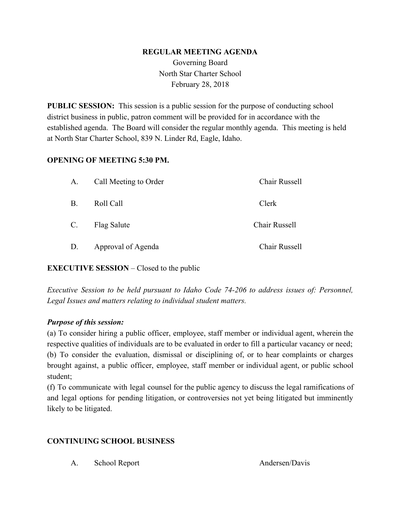#### **REGULAR MEETING AGENDA**

Governing Board North Star Charter School February 28, 2018

**PUBLIC SESSION:** This session is a public session for the purpose of conducting school district business in public, patron comment will be provided for in accordance with the established agenda. The Board will consider the regular monthly agenda. This meeting is held at North Star Charter School, 839 N. Linder Rd, Eagle, Idaho.

#### **OPENING OF MEETING 5:30 PM.**

| A.          | Call Meeting to Order | Chair Russell |
|-------------|-----------------------|---------------|
| <b>B.</b>   | Roll Call             | Clerk         |
| $C_{\cdot}$ | Flag Salute           | Chair Russell |
| D.          | Approval of Agenda    | Chair Russell |

## **EXECUTIVE SESSION** – Closed to the public

*Executive Session to be held pursuant to Idaho Code 74-206 to address issues of: Personnel, Legal Issues and matters relating to individual student matters.*

## *Purpose of this session:*

(a) To consider hiring a public officer, employee, staff member or individual agent, wherein the respective qualities of individuals are to be evaluated in order to fill a particular vacancy or need; (b) To consider the evaluation, dismissal or disciplining of, or to hear complaints or charges brought against, a public officer, employee, staff member or individual agent, or public school student;

(f) To communicate with legal counsel for the public agency to discuss the legal ramifications of and legal options for pending litigation, or controversies not yet being litigated but imminently likely to be litigated.

## **CONTINUING SCHOOL BUSINESS**

A. School Report Andersen/Davis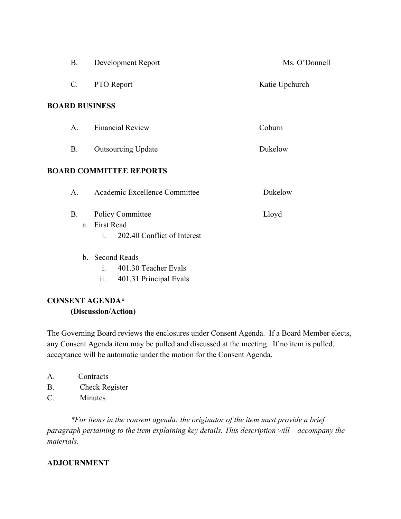|                                | <b>B.</b>       | Development Report                                                                      | Ms. O'Donnell  |  |  |
|--------------------------------|-----------------|-----------------------------------------------------------------------------------------|----------------|--|--|
|                                | $\mathcal{C}$ . | <b>PTO</b> Report                                                                       | Katie Upchurch |  |  |
|                                |                 | <b>BOARD BUSINESS</b>                                                                   |                |  |  |
|                                | A.              | <b>Financial Review</b>                                                                 | Coburn         |  |  |
|                                | <b>B.</b>       | <b>Outsourcing Update</b>                                                               | Dukelow        |  |  |
| <b>BOARD COMMITTEE REPORTS</b> |                 |                                                                                         |                |  |  |
|                                | A.              | Academic Excellence Committee                                                           | Dukelow        |  |  |
|                                | <b>B</b> .      | <b>Policy Committee</b><br>a. First Read<br>202.40 Conflict of Interest<br>$\mathbf{i}$ | Lloyd          |  |  |
|                                |                 | b. Second Reads<br>i. 401.30 Teacher Evals                                              |                |  |  |

ii. 401.31 Principal Evals

# **CONSENT AGENDA\* (Discussion/Action)**

The Governing Board reviews the enclosures under Consent Agenda. If a Board Member elects, any Consent Agenda item may be pulled and discussed at the meeting. If no item is pulled, acceptance will be automatic under the motion for the Consent Agenda.

- A. Contracts
- B. Check Register
- C. Minutes

*\*For items in the consent agenda: the originator of the item must provide a brief paragraph pertaining to the item explaining key details. This description will accompany the materials.*

## **ADJOURNMENT**